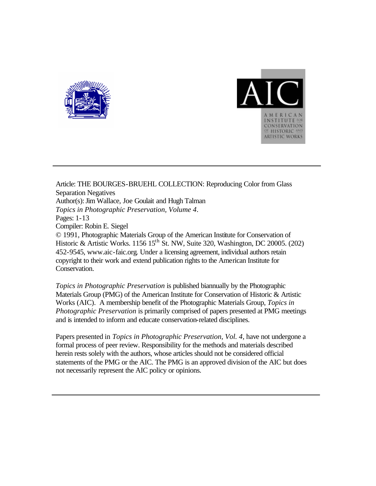



Article: THE BOURGES-BRUEHL COLLECTION: Reproducing Color from Glass Separation Negatives Author(s): Jim Wallace, Joe Goulait and Hugh Talman *Topics in Photographic Preservation, Volume 4*. Pages: 1-13 Compiler: Robin E. Siegel © 1991, Photographic Materials Group of the American Institute for Conservation of Historic & Artistic Works. 1156 15<sup>th</sup> St. NW, Suite 320, Washington, DC 20005. (202) 452-9545, www.aic-faic.org. Under a licensing agreement, individual authors retain copyright to their work and extend publication rights to the American Institute for Conservation.

*Topics in Photographic Preservation* is published biannually by the Photographic Materials Group (PMG) of the American Institute for Conservation of Historic & Artistic Works (AIC). A membership benefit of the Photographic Materials Group, *Topics in Photographic Preservation* is primarily comprised of papers presented at PMG meetings and is intended to inform and educate conservation-related disciplines.

Papers presented in *Topics in Photographic Preservation, Vol. 4*, have not undergone a formal process of peer review. Responsibility for the methods and materials described herein rests solely with the authors, whose articles should not be considered official statements of the PMG or the AIC. The PMG is an approved division of the AIC but does not necessarily represent the AIC policy or opinions.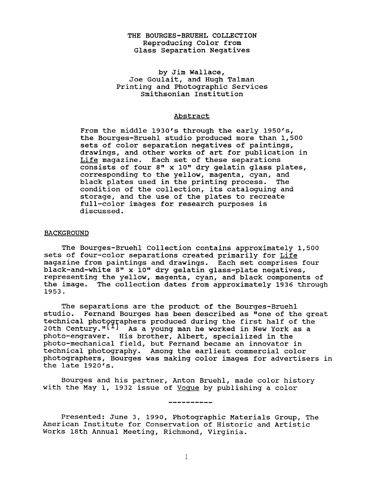# THE BOURGES-BRUEHL COLLECTION Reproducing Color from Glass Separation Negatives

# by Jim Wallace, Joe Goulait, and Hugh Talman Printing and Photographic Services Smithsonian Institution

## Abstract

From the middle **1930's** through the early **1950's,**  the Bourges-Bruehl studio produced more than 1,500 sets of color separation negatives of paintings, drawings, and other works of art for publication in Life magazine. Each set of these separations consists of four 8" x 10" dry gelatin glass plates, corresponding to the yellow, magenta, cyan, and black plates used in the printing process. condition of the collection, its cataloguing and storage, and the use of the plates to recreate full-color images for research purposes is discussed.

## BACKGROUND

The Bourges-Bruehl Collection contains approximately **1,500**  sets of four-color separations created primarily for Life magazine from paintings and drawings. Each set comprises four black-and-white 8" x 10" dry gelatin glass-plate negatives, representing the yellow, magenta, cyan, and black components of the image. The collection dates from approximately **1936** through **1953.** 

The separations are the product of the Bourges-Bruehl studio. Fernand Bourges has been described as "one of the great technical photographers produced during the first half of the photo-engraver. His brother, Albert, specialized in the photo-mechanical field, but Fernand became an innovator in technical photography. Among the earliest commercial color photographers, Bourges was making color images for advertisers in the late **1920's.**  20th Century.<sup>"[I]</sup> As a young man he worked in New York as a

Bourges and his partner, Anton Bruehl, made color history with the May 1, **1932** issue of Voque by publishing a color

Presented: June **3, 1990,** Photographic Materials Group, The American Institute for Conservation of Historic and Artistic Works 18th Annual Meeting, Richmond, Virginia.

-----------

1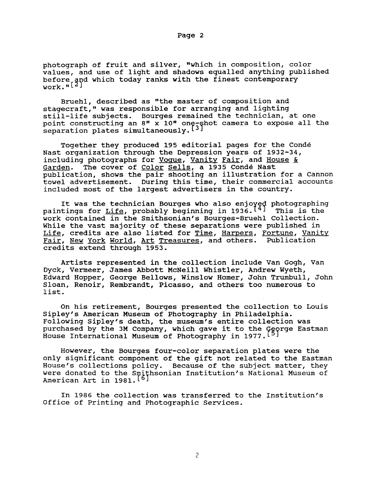photograph of fruit and silver, "which in composition, color values, and use of light and shadows equalled anything published before and which today ranks with the finest contemporary work.<sup>"[2]</sup>

Bruehl, described as "the master of composition and stagecraft," was responsible for arranging and lighting still-life subjects. Bourges remained the technician, at one point constructing an 8" x 10" one-shot camera to expose all the separation plates simultaneously.<sup>[3]</sup>

Together they produced 195 editorial pages for the Conde Nast organization through the Depression years of 1932-34, including photographs for <u>Vogue</u>, <u>Vanity Fair</u>, and <u>House &</u><br>Garden. The cover of Color Sells, a 1935 Condé Nast The cover of Color Sells, a 1935 Condé Nast publication, shows the pair shooting an illustration for a Cannon towel advertisement. During this time, their commercial accounts included most of the largest advertisers in the country.

It was the technician Bourges who also enjoyed photographing<br>paintings for <u>Life</u>, probably beginning in 1936.<sup>[4]</sup> This is the work contained in the Smithsonian's Bourges-Bruehl Collection. While the vast majority of these separations were published in Life, credits are also listed for <u>Time</u>, Harpers, Fortune, Vanity Fair, New York World, *Art* Treasures, and others. Publication credits extend through 1953.

Artists represented in the collection include Van Gogh, Van Dyck, Vermeer, James Abbott McNeill Whistler, Andrew Wyeth, Edward Hopper, George Bellows, Winslow Homer, John Trumbull, John Sloan, Renoir, Rembrandt, Picasso, and others too numerous to list.

On his retirement, Bourges presented the collection to Louis Sipley's American Museum of Photography in Philadelphia. Following Sipley's death, the museum's entire collection was purchased by the 3M Company, which gave it to the George Eastman<br>House International Museum of Photography in 1977.<sup>[5]</sup>

However, the Bourges four-color separation plates were the only significant component of the gift not related to the Eastman House's collections policy, Because of the subject matter, they were donated to the **S** hsonian Institution's National Museum of American Art in 1981. [6]

In 1986 the collection was transferred to the Institution's Office of Printing and Photographic Services.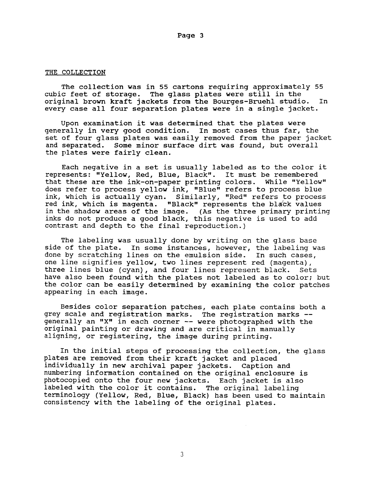#### THE COLLECTION

The collection was in 55 cartons requiring approximately 55 cubic feet of storage. The glass plates were still in the original brown kraft jackets from the Bourges-Bruehl studio. In every case all four separation plates were in a single jacket.

Upon examination it was determined that the plates were generally in very good condition. In most cases thus far, the set of four glass plates was easily removed from the paper jacket and separated. Some minor surface dirt was found, but overall the plates were fairly clean.

Each negative in a set is usually labeled as to the color it represents: "Yellow, Red, Blue, Black". It must be remembered that these are the ink-on-paper printing colors. While "Yellow" does refer to process yellow ink, "Blue" refers to process blue ink, which is actually cyan. Similarly, "Red" refers to process red ink, which is magenta. "Black" represents the black values in the shadow areas of the image. (As the three primary printing inks do not produce a good black, this negative is used to add contrast and depth to the final reproduction.)

The labeling was usually done by writing on the glass base side of the plate. In some instances, however, the labeling was done by scratching lines on the emulsion side. In such cases, one line signifies yellow, two lines represent red (magenta), three lines blue (cyan), and four lines represent black. Sets have also been found with the plates not labeled as to color; but the color can be easily determined by examining the color patches appearing in each image.

Besides color separation patches, each plate contains both a grey scale and registration marks. The registration marks - generally an **"X"** in each corner -- were photographed with the original painting or drawing and are critical in manually aligning, or registering, the image during printing.

In the initial steps of processing the collection, the glass plates are removed from their kraft jacket and placed individually in new archival paper jackets. numbering information contained on the original enclosure is photocopied onto the four new jackets. Each jacket is also labeled with the color it contains. The original labeling terminology (Yellow, Red, Blue, Black) has been used to maintain consistency with the labeling of the original plates. Caption and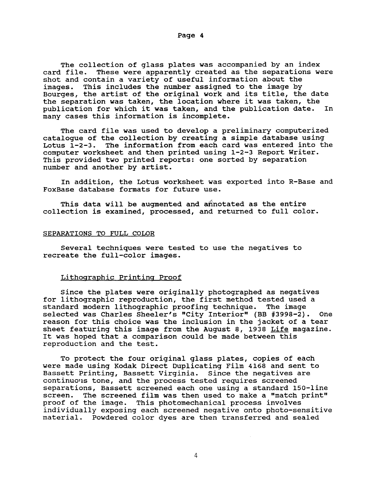The collection of glass plates was accompanied by an index card file. These were apparently created as the separations we These were apparently created as the separations were shot and contain a variety of useful information about the images. This includes the number assigned to the image by This includes the number assigned to the image by Bourges, the artist of the original work and its title, the date the separation was taken, the location where it was taken, the<br>publication for which it was taken, and the publication date. In publication for which it was taken, and the publication date. many cases this information is incomplete.

catalogue of the collection by creating a simple database using The information from each card was entered into the computer worksheet and then printed using **1-2-3** Report Writer. This provided two printed reports: one sorted by separation number and another by artist. The card file was used to develop a preliminary computerized

In addition, the Lotus worksheet was exported into R-Base and FoxBase database formats for future use.

This data will be augmented and annotated as the entire collection is examined, processed, and returned to full color.

## SEPARATIONS TO FULL COLOR

Several techniques were tested to use the negatives to recreate the full-color images.

## Lithographic Printing Proof

Since the plates were originally photographed as negatives for lithographic reproduction, the first method tested used a<br>standard modern lithographic proofing technique. The image standard modern lithographic proofing technique. selected was Charles Sheeler's "City Interior" (BB **#3998-2).** One reason for this choice was the inclusion in the jacket of a tear sheet featuring this image from the August **8, 1938** Life magazine. It was hoped that a comparison could be made between this reproduction and the test.

To protect the four original glass plates, copies of each were made using Kodak Direct Duplicating Film **4168** and sent to Bassett Printing, Bassett Virginia. Since the negatives are continuous tone, and the process tested requires screened separations, Bassett screened each one using a standard 150-line screen. The screened film was then used to make a "match print" proof of the image. This photomechanical process involves individually exposing each screened negative onto photo-sensitive material. Powdered color dyes are then transferred and sealed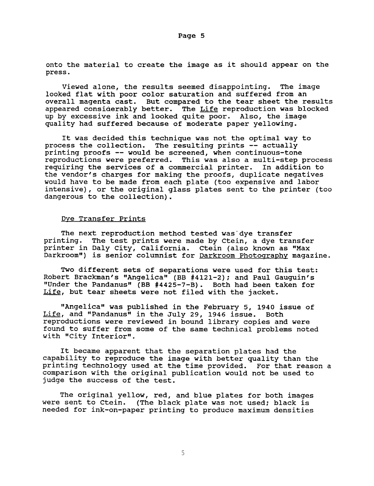onto the material to create the image as it should appear on the press.

Viewed alone, the results seemed disappointing. The image looked flat with poor color saturation and suffered from an overall magenta cast. But compared to the tear sheet the results appeared considerably better. The Life reproduction was blocked up by excessive ink and looked quite poor. Also, the image quality had suffered because of moderate paper yellowing.

It was decided this technique was not the optimal way to process the collection. The resulting prints -- actually printing proofs -- would be screened, when continuous-tone reproductions were preferred. This was also a multi-step process requiring the services of a commercial printer. In addition to the vendor's charges for making the proofs, duplicate negatives would have to be made from each plate (too expensive and labor intensive), or the original glass plates sent to the printer (too dangerous to the collection).

## Dve Transfer Prints

The next reproduction method tested was'dye transfer printing. The test prints were made by Ctein, a dye transfer printer in Daly City, California. Ctein (also known as "Max Darkroom") is senior columnist for Darkroom Photography magazine.

Two different sets of separations were used for this test: Robert Brackman's "Angelica" (BB #4121-2); and Paul Gauguin's Wnder the Pandanus" (BB #4425-7-B). Both had been taken for Life, but tear sheets were not filed with the jacket.

"Angelica" was published in the February 5, 1940 issue of<br>, and "Pandanus" in the July 29, 1946 issue. Both Life, and "Pandanus" in the July 29, 1946 issue. reproductions were reviewed in bound library copies and were found to suffer from some of the same technical problems noted with "City Interior".

It became apparent that the separation plates had the capability to reproduce the image with better quality than the printing technology used at the time provided. For that reason a comparison with the original publication would not be used to judge the success of the test.

The original yellow, red, and blue plates for both images were sent to Ctein. (The black plate was not used; black is needed for ink-on-paper printing to produce maximum densities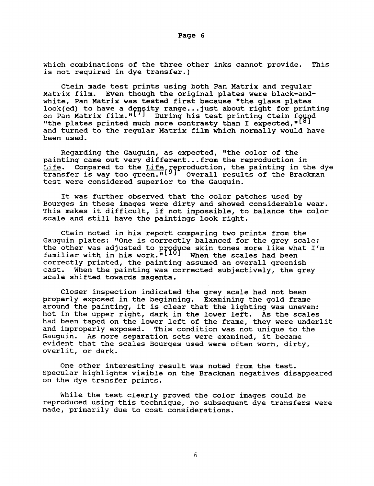which combinations of the three other inks cannot provide. This is not required in dye transfer.)

Ctein made test prints using both Pan Matrix and regular Matrix film. Even though the original plates were black-andwhite, Pan Matrix was tested first because "the glass plates look(ed) to have a d on Pan Matrix film."<sup>[7]</sup> During his test printing Ctein for "the plates printed much more contrasty than I expected,  $\mathfrak{n}$ <sup>[8]</sup> and turned to the regular Matrix film which normally would have been used. ensity range...just about right for printing<br>[7] During his test printing Ctein found<br>much more contrasty than I expected,"[8]

Regarding the Gauguin, as expected, "the color of the painting came out very different...from the reproduction in Life. Compared to the Life geproduction, the painting in the dye transfer is way too green."<sup>[9]</sup> Overall results of the Brackman test were considered superior to the Gauguin.

It was further observed that the color patches used by Bourges in these images were dirty and showed considerable wear. This makes it difficult, if not impossible, to balance the color scale and still have the paintings look right.

Ctein noted in his report comparing two prints from the Gauguin plates: "One is correctly balanced for the grey scale; the other was adjusted to produce skin tones more like what I'm familiar with in his work. $\sqrt[n]{[10]}$  When the scales had been correctly printed, the painting assumed an overall greenish cast. When the painting was corrected subjectively, the green When the painting was corrected subjectively, the grey scale shifted towards magenta.

Closer inspection indicated the grey scale had not been properly exposed in the beginning. Examining the gold frame around the painting, it is clear that the lighting was uneven: hot in the upper right, dark in the lower left. As the scales had been taped on the lower left of the frame, they were underlit and improperly exposed. This condition was not unique to the Gauguin. As more separation sets were examined, it became evident that the scales Bourges used were often worn, dirty, overlit, or dark.

One other interesting result was noted from the test. Specular highlights visible on the Brackman negatives disappeared on the dye transfer prints.

While the test clearly proved the color images could be reproduced using this technique, no subsequent dye transfers were made, primarily due to cost considerations.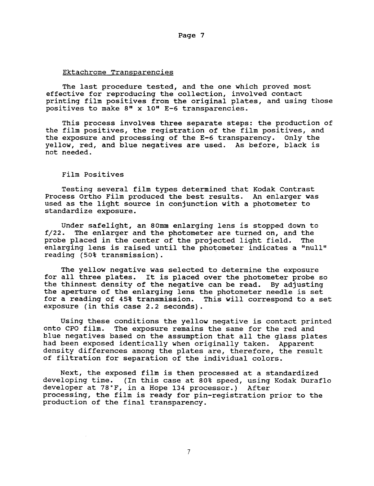#### Ektachrome Transparencies

The last procedure tested, and the one which proved most effective for reproducing the collection, involved contact printing film positives from the original plates, and using those positives to make *8"* x **10" E-6** transparencies.

This process involves three separate steps: the production of the film positives, the registration of the film positives, and the exposure and processing of the **E-6** transparency. Only the yellow, red, and blue negatives are used. As before, black is not needed.

## Film Positives

Testing several film types determined that Kodak Contrast Process Ortho Film produced the best results. *An* enlarger was used as the light source in conjunction with a photometer to standardize exposure.

Under safelight, an **80mm** enlarging lens is stopped down to f/22. The enlarger and the photometer are turned on, and the probe placed in the center of the projected light field. enlarging lens is raised until the photometer indicates a "null" reading (50% transmission).

The yellow negative was selected to determine the exposure for all three plates. It is placed over the photometer probe so the thinnest density of the negative can be read. By adjusting the aperture of the enlarging lens the photometer needle is set for a reading of **45%** transmission. This will correspond to a set exposure (in this case 2.2 seconds).

Using these conditions the yellow negative is contact printed onto CPO film. The exposure remains the same for the red and blue negatives based on the assumption that all the glass plates had been exposed identically when originally taken. Apparent density differences among the plates are, therefore, the result of filtration for separation of the individual colors.

Next, the exposed film is then processed at a standardized developing time. (In this case at 80% speed, using Kodak Duraflo developer at 78'F, in a Hope 134 processor.) After processing, the film is ready for pin-registration prior to the production of the final transparency.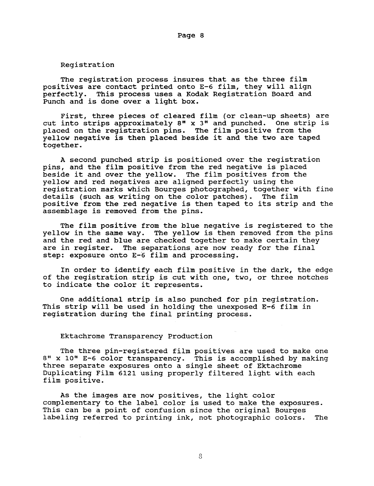Registration

The registration process insures that as the three film positives are contact printed onto **E-6** film, they will align This process uses a Kodak Registration Board and Punch and is done over a light box.

First, three pieces of cleared film (or clean-up sheets) are cut into strips approximately *8"* x **3"** and punched. One strip is placed on the registration pins, The film positive from the yellow negative is then placed beside it and the two are taped together.

**A** second punched strip is positioned Over the registration pins, and the film positive from the red negative is placed beside it and over the yellow, The film positives from the yellow and red negatives are aligned perfectly using the registration marks which Bourges photographed, together with fine details (such as writing on the color patches), The film positive from the red negative is then taped to its strip and the assemblage is removed from the pins.

The film positive from the blue negative is registered to the yellow in the same way. The yellow is then removed from the pins and the red and blue are checked together to make certain they<br>are in register. The separations are now ready for the final The separations are now ready for the final step: exposure onto E-6 film and processing.

In order to identify each film positive in the dark, the edge of the registration strip is cut with one, two, or three notches to indicate the color it represents,

One additional strip is also punched for pin registration. This strip will be used in holding the unexposed **E-6** film in registration during the final printing process.

#### Ektachrome Transparency Production

The three pin-registered film positives are used to make one 8" x 10" E-6 color transparency. This is accomplished by making three separate exposures onto a single sheet of Ektachrome Duplicating Film **6121** using properly filtered light with each film positive.

As the images are now positives, the light color complementary to the label color is used to make the exposures. This can be a point of confusion since the original Bourges labeling referred to printing ink, not photographic colors. The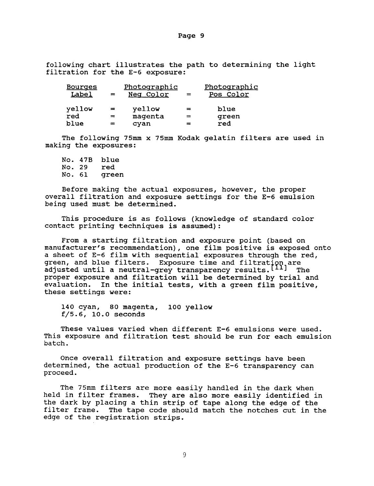following chart illustrates the path to determining the light filtration for the E-6 exposure:

| <b>Bourges</b><br>Label | $=$ | Photographic<br>Neq Color | $=$ | Photographic<br>Pos Color |
|-------------------------|-----|---------------------------|-----|---------------------------|
| yellow                  | $=$ | yellow                    | $=$ | blue                      |
| red                     | =   | magenta                   | $=$ | qreen                     |
| blue                    | =   | cyan                      |     | red                       |

The following 75mm x 75mm Kodak gelatin filters are used in making the exposures:

No. 47B blue<br>No. 29 red No. 29 red<br>No. 61 green No. 61

Before making the actual exposures, however, the proper overall filtration and exposure settings for the E-6 emulsion being used must be determined.

This procedure is as follows (knowledge of standard color contact printing techniques is assumed):

From a starting filtration and exposure point (based on manufacturer's recommendation), one film positive is exposed onto a sheet of E-6 film with sequential exposures through the red, green, and blue filters. Exposure time and filtration are adjusted until a neutral-grey transparency results.<sup>[11]</sup> The proper exposure and filtration will be determined by trial and evaluation. In the initial tests, with a green film positive. In the initial tests, with a green film positive, these settings were:

140 cyan, 80 magenta, 100 yellow f/5.6, 10.0 seconds

These values varied when different E-6 emulsions were used. This exposure and filtration test should be run for each emulsion batch.

Once overall filtration and exposure settings have been determined, the actual production of the E-6 transparency can proceed.

The 75mm filters are more easily handled in the dark when held in filter frames. They are also more easily identified in the dark by placing a thin strip of tape along the edge of the filter frame. The tape code should match the notches cut in the edge of the registration strips.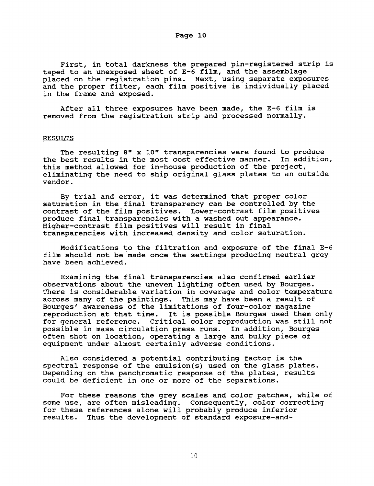First, in total darkness the prepared pin-registered strip is taped to an unexposed sheet of E-6 film, and the assemblage placed on the registration pins. Next, using separate exposures and the proper filter, each film positive is individually placed

After all three exposures have been made, the E-6 film is removed from the registration strip and processed normally.

#### RESULTS

in the frame and exposed.

The resulting *8"* x **10"** transparencies were found to produce the best results in the most cost effective manner. this method allowed for in-house production of the project, eliminating the need to ship original glass plates to an outside vendor.

By trial and error, it was determined that proper color saturation in the final transparency can be controlled by the contrast of the film positives. Lower-contrast film positives produce final transparencies with a washed out appearance. Higher-contrast film positives will result in final transparencies with increased density and color saturation.

film should not be made once the settings producing neutral grey have been achieved. Modifications to the filtration and exposure of the final E-6

Examining the final transparencies also confirmed earlier observations about the uneven lighting often used by Bourges. There **is** considerable variation in coverage and color temperature across many of the paintings. This may have been a result of Bourges' awareness of the limitations of four-color magazine reproduction at that time. It is possible Bourges used them only for general reference. Critical color reproduction was still not possible in mass circulation press runs. In addition, Bourges often shot on location, operating a large and bulky piece of equipment under almost certainly adverse conditions.

Also considered a potential contributing factor is the spectral response of the emulsion(s) used on the glass plates. Depending on the panchromatic response of the plates, results could be deficient in one or more of the separations.

For these reasons the grey scales and color patches, while of some use, are often misleading. Consequently, color correcting for these references alone will probably produce inferior results. Thus the development of standard exposure-and-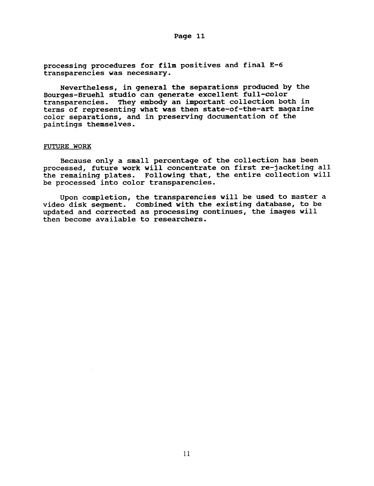**processing procedures for film positives and final E-6 transparencies was necessary.** 

**Nevertheless, in general the separations produced by the Bourges-Bruehl studio can generate excellent full-color transparencies. They embody an important collection both in terms of representing what was then state-of-the-art magazine**  color **separations, and in preserving documentation of the paintings themselves.** 

## FUTURE **WORK**

**Because only a small percentage of the collection has been processed, future work will concentrate on first re-jacketing all the remaining plates. Following that, the entire collection will be processed into color transparencies.** 

**video disk segment. Combined with the existing database, to be updated and corrected as processing continues, the images will then become available to researchers. Upon completion, the transparencies will be used to master a**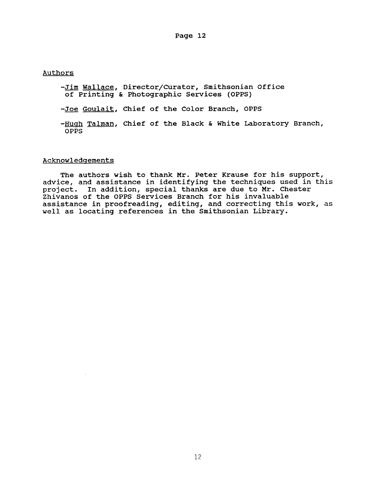Authors

- -Jim Wallace, Director/Curator, Smithsonian Office of Printing & Photographic Services (OPPS)
- -Joe Goulait, Chief of the Color Branch, OPPS
- -Hugh Talman, Chief of the Black & White Laboratory Branch, OPPS

#### Acknowledgements

The authors wish to thank Mr. Peter Krause for his support, advice, and assistance in identifying the techniques used in this project. In addition, special thanks are due to Mr. Chester Zhivanos of the OPPS Services Branch for his invaluable assistance in proofreading, editing, and correcting this work, as well as locating references in the Smithsonian Library.